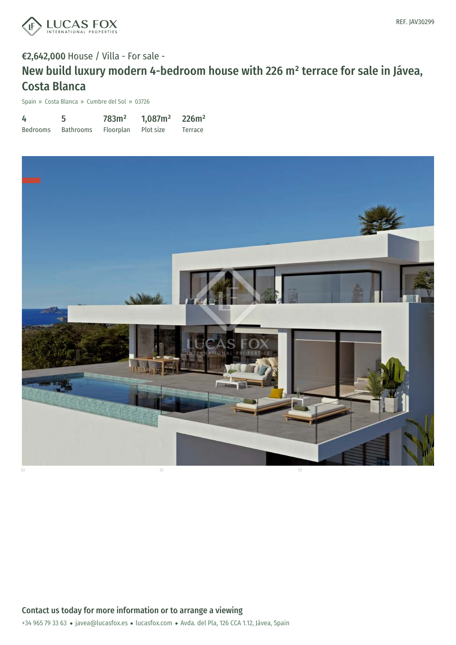

### €2,642,000 House / Villa - For sale -

# New build luxury modern 4-bedroom house with 226 m² terrace for sale in Jávea, Costa Blanca

Spain » Costa Blanca » Cumbre del Sol » 03726

| 4               |                  | 783m <sup>2</sup> | 1,087m <sup>2</sup> | 226m <sup>2</sup> |
|-----------------|------------------|-------------------|---------------------|-------------------|
| <b>Bedrooms</b> | <b>Bathrooms</b> | Floorplan         | Plot size           | Terrace           |